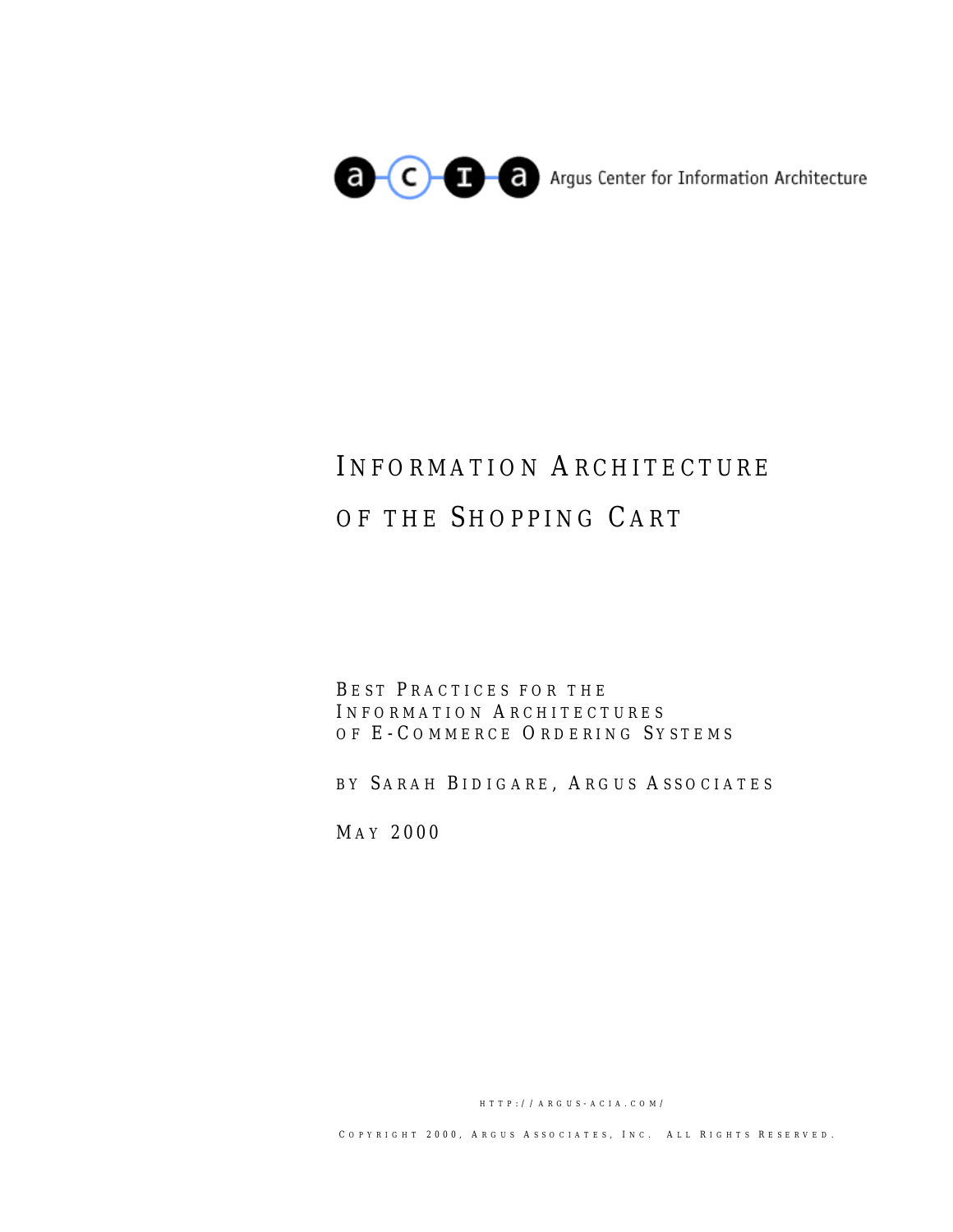

# INFORMATION ARCHITECTURE OF THE SHOPPING CART

BEST PRACTICES FOR THE INFORMATION ARCHITECTURES OF E-COMMERCE ORDERING SYSTEMS

BY SARAH BIDIGARE, ARGUS ASSOCIATES

M AY 2000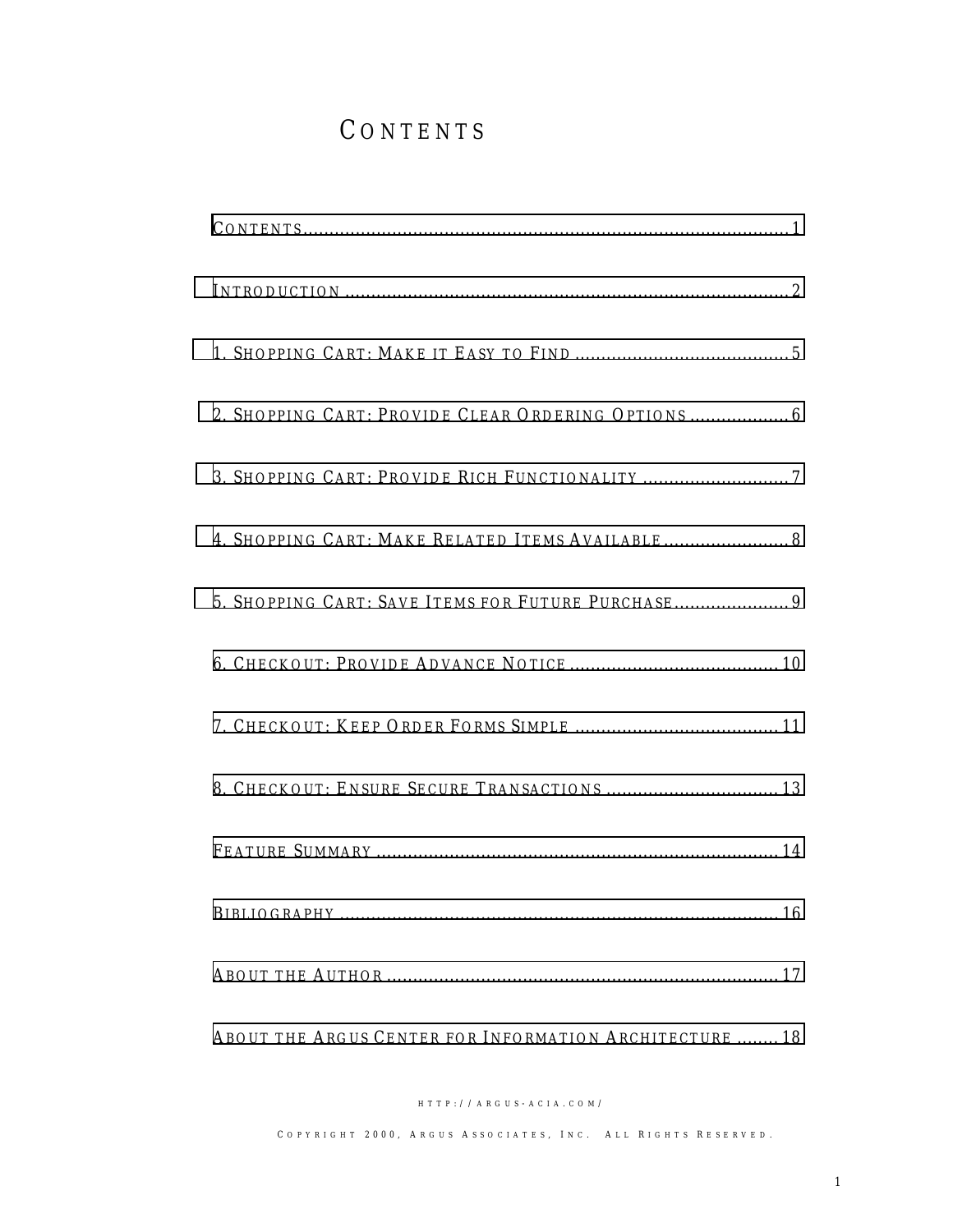## **CONTENTS**

| 2. SHOPPING CART: PROVIDE CLEAR ORDERING OPTIONS  6     |
|---------------------------------------------------------|
| 3. SHOPPING CART: PROVIDE RICH FUNCTIONALITY 7          |
| 4. SHOPPING CART: MAKE RELATED ITEMS AVAILABLE 8        |
| 5. SHOPPING CART: SAVE ITEMS FOR FUTURE PURCHASE9       |
|                                                         |
|                                                         |
| 8. CHECKOUT: ENSURE SECURE TRANSACTIONS  13             |
|                                                         |
|                                                         |
|                                                         |
| ABOUT THE ARGUS CENTER FOR INFORMATION ARCHITECTURE  18 |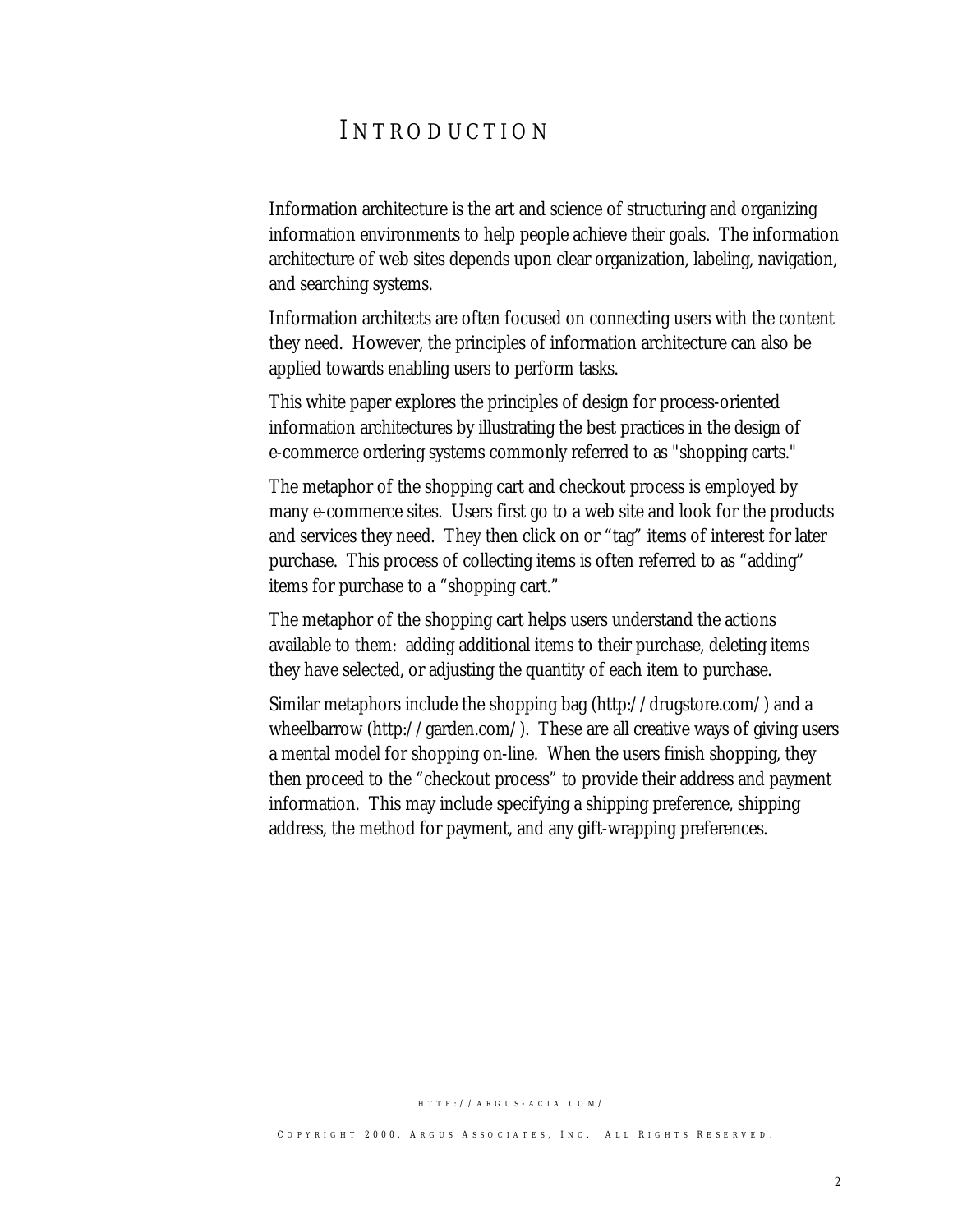### I NTRODUCTION

<span id="page-2-0"></span>Information architecture is the art and science of structuring and organizing information environments to help people achieve their goals. The information architecture of web sites depends upon clear organization, labeling, navigation, and searching systems.

Information architects are often focused on connecting users with the content they need. However, the principles of information architecture can also be applied towards enabling users to perform tasks.

This white paper explores the principles of design for process-oriented information architectures by illustrating the best practices in the design of e-commerce ordering systems commonly referred to as "shopping carts."

The metaphor of the shopping cart and checkout process is employed by many e-commerce sites. Users first go to a web site and look for the products and services they need. They then click on or "tag" items of interest for later purchase. This process of collecting items is often referred to as "adding" items for purchase to a "shopping cart."

The metaphor of the shopping cart helps users understand the actions available to them: adding additional items to their purchase, deleting items they have selected, or adjusting the quantity of each item to purchase.

Similar metaphors include the shopping bag (http://drugstore.com/) and a wheelbarrow (http://garden.com/). These are all creative ways of giving users a mental model for shopping on-line. When the users finish shopping, they then proceed to the "checkout process" to provide their address and payment information. This may include specifying a shipping preference, shipping address, the method for payment, and any gift-wrapping preferences.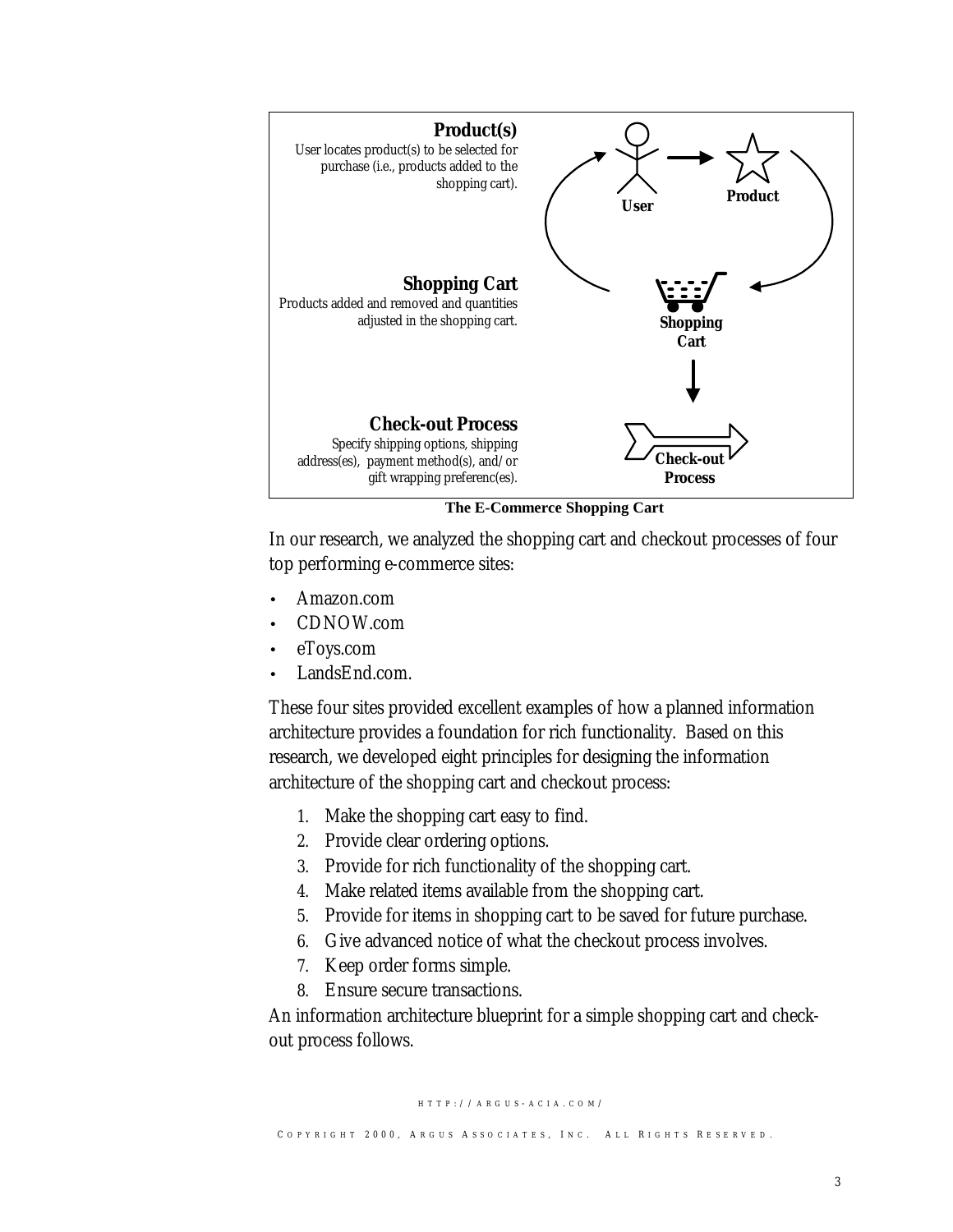

**The E-Commerce Shopping Cart** 

In our research, we analyzed the shopping cart and checkout processes of four top performing e-commerce sites:

- Amazon.com
- CDNOW.com
- eToys.com
- LandsEnd.com.

These four sites provided excellent examples of how a planned information architecture provides a foundation for rich functionality. Based on this research, we developed eight principles for designing the information architecture of the shopping cart and checkout process:

- 1. Make the shopping cart easy to find.
- 2. Provide clear ordering options.
- 3. Provide for rich functionality of the shopping cart.
- 4. Make related items available from the shopping cart.
- 5. Provide for items in shopping cart to be saved for future purchase.
- 6. Give advanced notice of what the checkout process involves.
- 7. Keep order forms simple.
- 8. Ensure secure transactions.

An information architecture blueprint for a simple shopping cart and checkout process follows.

HTTP :// ARGUS - ACIA . COM /

COPYRIGHT 2000, ARGUS ASSOCIATES, INC. ALL RIGHTS RESERVED.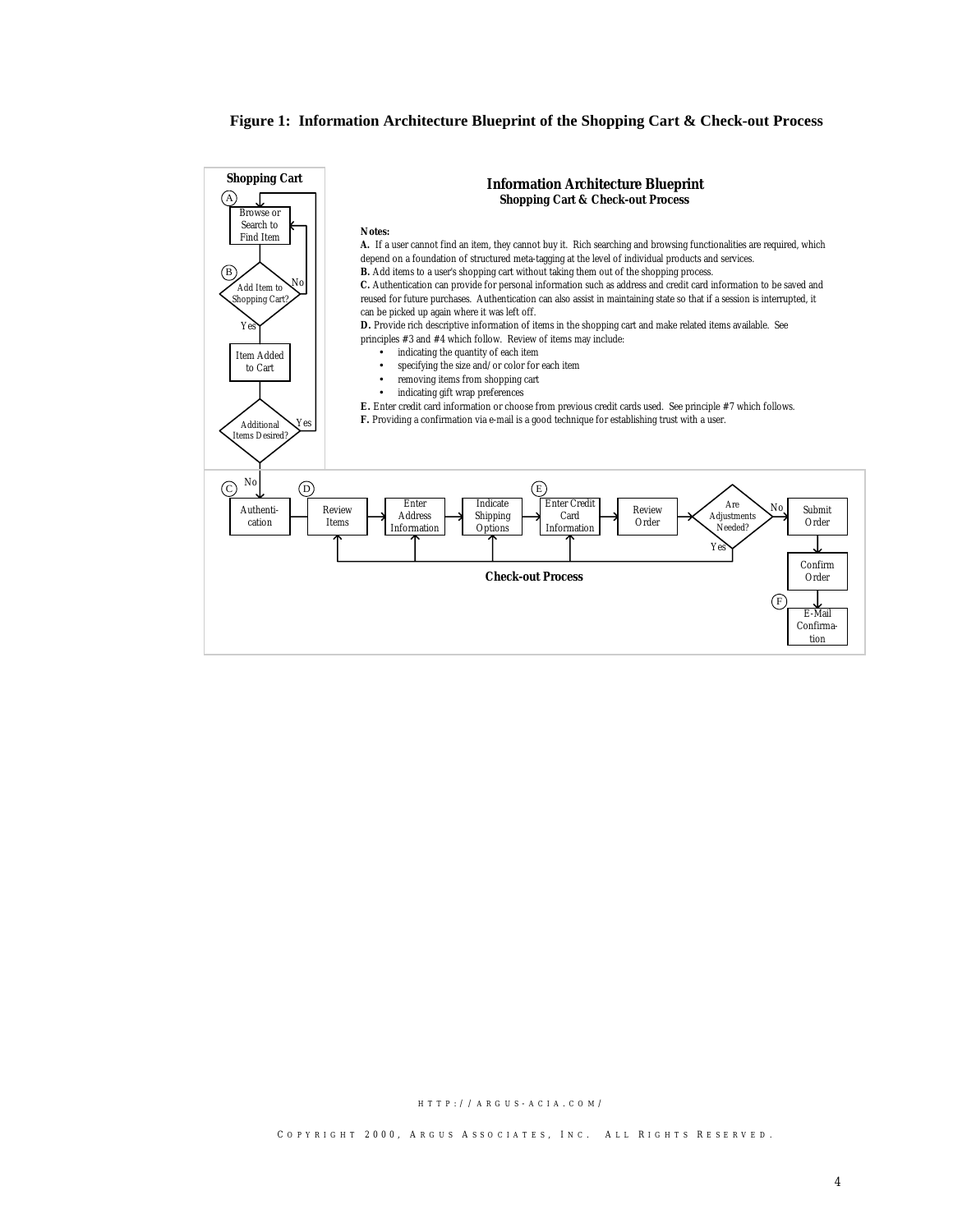#### **Figure 1: Information Architecture Blueprint of the Shopping Cart & Check-out Process**



#### H T T P : / / A R G U S - A C I A . C O M /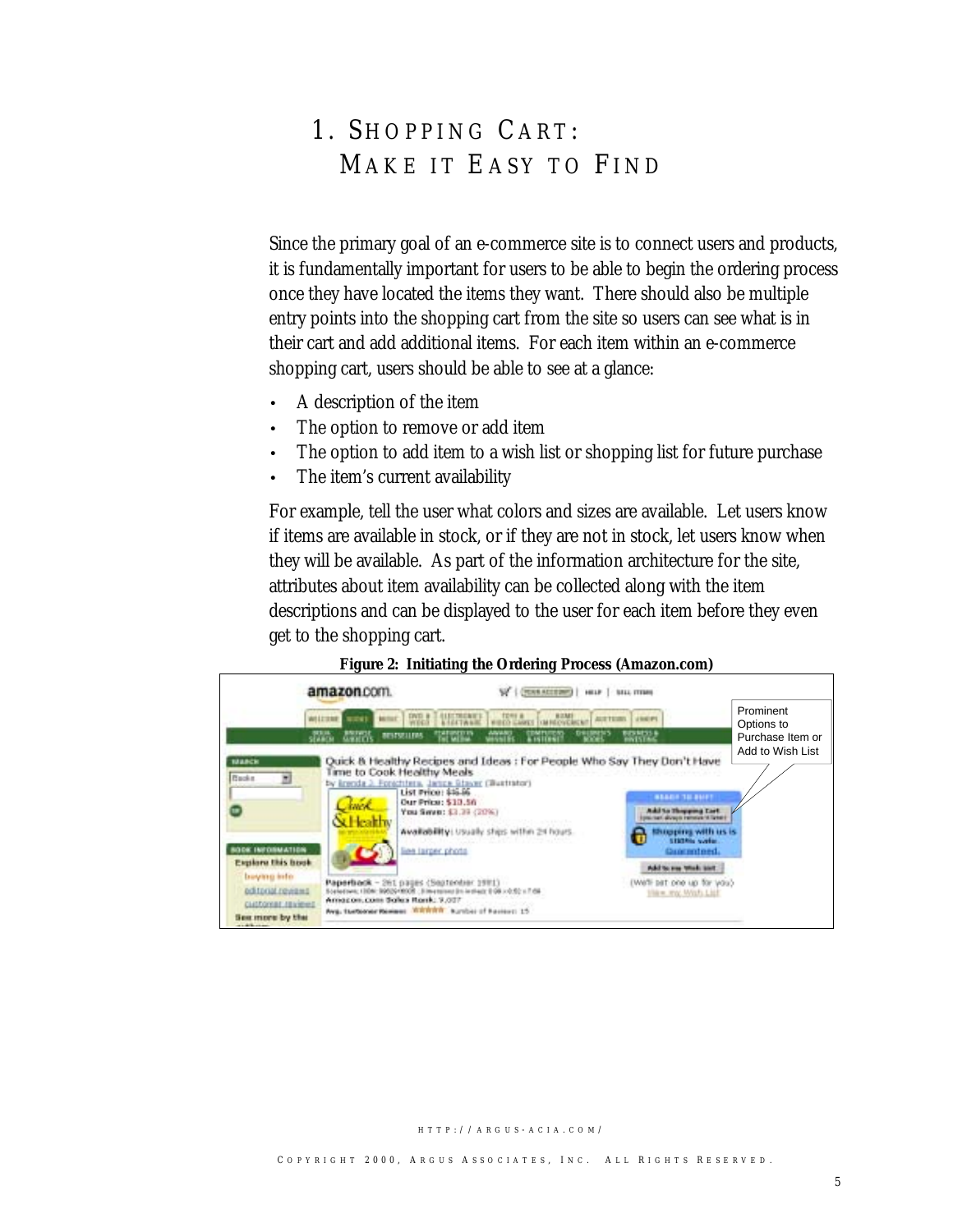## <span id="page-5-0"></span>1. SHOPPING CART: MAKE IT EASY TO FIND

Since the primary goal of an e-commerce site is to connect users and products, it is fundamentally important for users to be able to begin the ordering process once they have located the items they want. There should also be multiple entry points into the shopping cart from the site so users can see what is in their cart and add additional items. For each item within an e-commerce shopping cart, users should be able to see at a glance:

- A description of the item
- The option to remove or add item
- The option to add item to a wish list or shopping list for future purchase
- The item's current availability

For example, tell the user what colors and sizes are available. Let users know if items are available in stock, or if they are not in stock, let users know when they will be available. As part of the information architecture for the site, attributes about item availability can be collected along with the item descriptions and can be displayed to the user for each item before they even get to the shopping cart.



#### **Figure 2: Initiating the Ordering Process (Amazon.com)**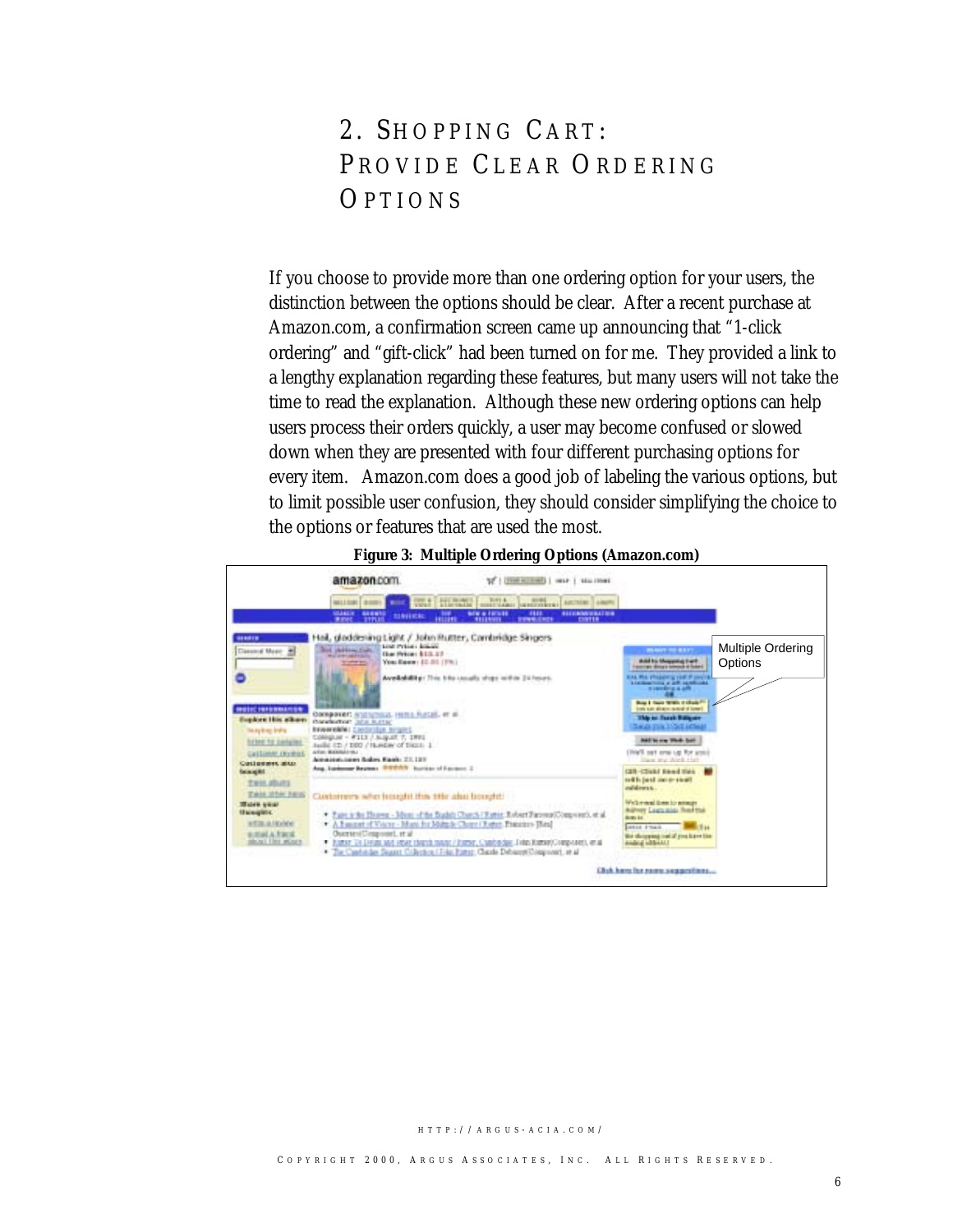## <span id="page-6-0"></span>2. SHOPPING CART: PROVIDE CLEAR ORDERING OPTIONS

If you choose to provide more than one ordering option for your users, the distinction between the options should be clear. After a recent purchase at Amazon.com, a confirmation screen came up announcing that "1-click ordering" and "gift-click" had been turned on for me. They provided a link to a lengthy explanation regarding these features, but many users will not take the time to read the explanation. Although these new ordering options can help users process their orders quickly, a user may become confused or slowed down when they are presented with four different purchasing options for every item. Amazon.com does a good job of labeling the various options, but to limit possible user confusion, they should consider simplifying the choice to the options or features that are used the most.



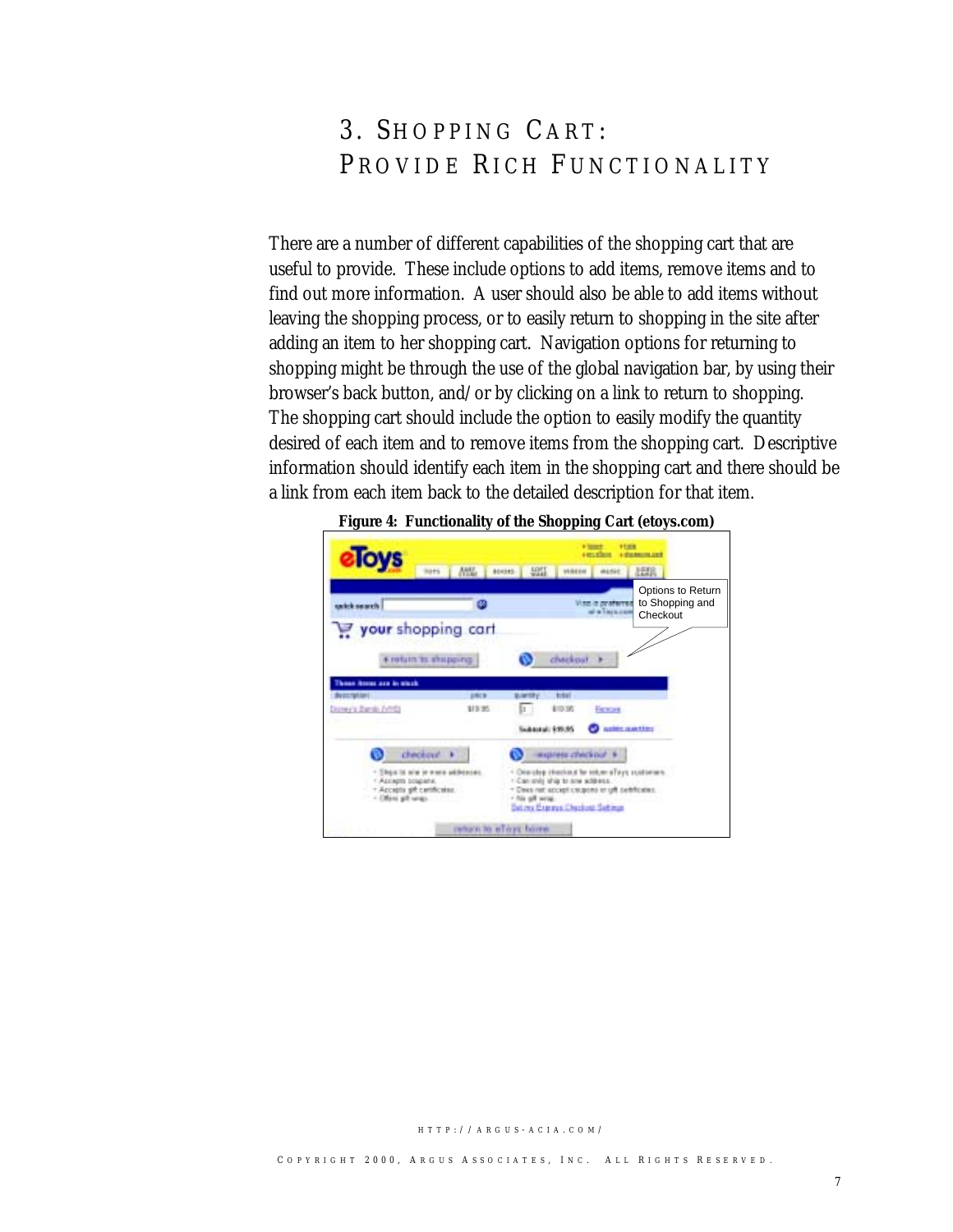## 3. SHOPPING CART: PROVIDE RICH FUNCTIONALITY

<span id="page-7-0"></span>There are a number of different capabilities of the shopping cart that are useful to provide. These include options to add items, remove items and to find out more information. A user should also be able to add items without leaving the shopping process, or to easily return to shopping in the site after adding an item to her shopping cart. Navigation options for returning to shopping might be through the use of the global navigation bar, by using their browser's back button, and/or by clicking on a link to return to shopping. The shopping cart should include the option to easily modify the quantity desired of each item and to remove items from the shopping cart. Descriptive information should identify each item in the shopping cart and there should be a link from each item back to the detailed description for that item.



#### **Figure 4: Functionality of the Shopping Cart (etoys.com)**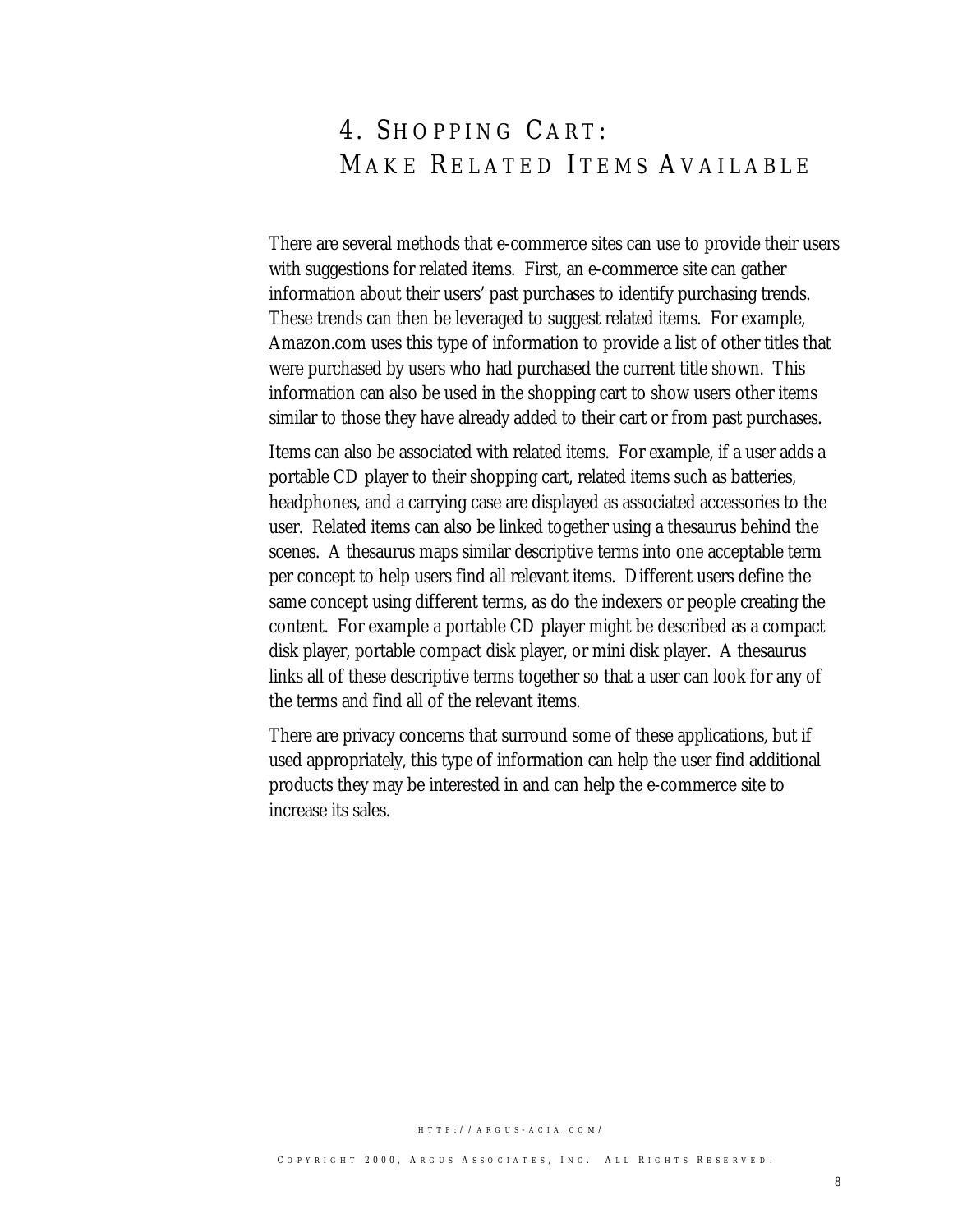### 4. SHOPPING CART: MAKE RELATED ITEMS AVAILABLE

<span id="page-8-0"></span>There are several methods that e-commerce sites can use to provide their users with suggestions for related items. First, an e-commerce site can gather information about their users' past purchases to identify purchasing trends. These trends can then be leveraged to suggest related items. For example, Amazon.com uses this type of information to provide a list of other titles that were purchased by users who had purchased the current title shown. This information can also be used in the shopping cart to show users other items similar to those they have already added to their cart or from past purchases.

Items can also be associated with related items. For example, if a user adds a portable CD player to their shopping cart, related items such as batteries, headphones, and a carrying case are displayed as associated accessories to the user. Related items can also be linked together using a thesaurus behind the scenes. A thesaurus maps similar descriptive terms into one acceptable term per concept to help users find all relevant items. Different users define the same concept using different terms, as do the indexers or people creating the content. For example a portable CD player might be described as a compact disk player, portable compact disk player, or mini disk player. A thesaurus links all of these descriptive terms together so that a user can look for any of the terms and find all of the relevant items.

There are privacy concerns that surround some of these applications, but if used appropriately, this type of information can help the user find additional products they may be interested in and can help the e-commerce site to increase its sales.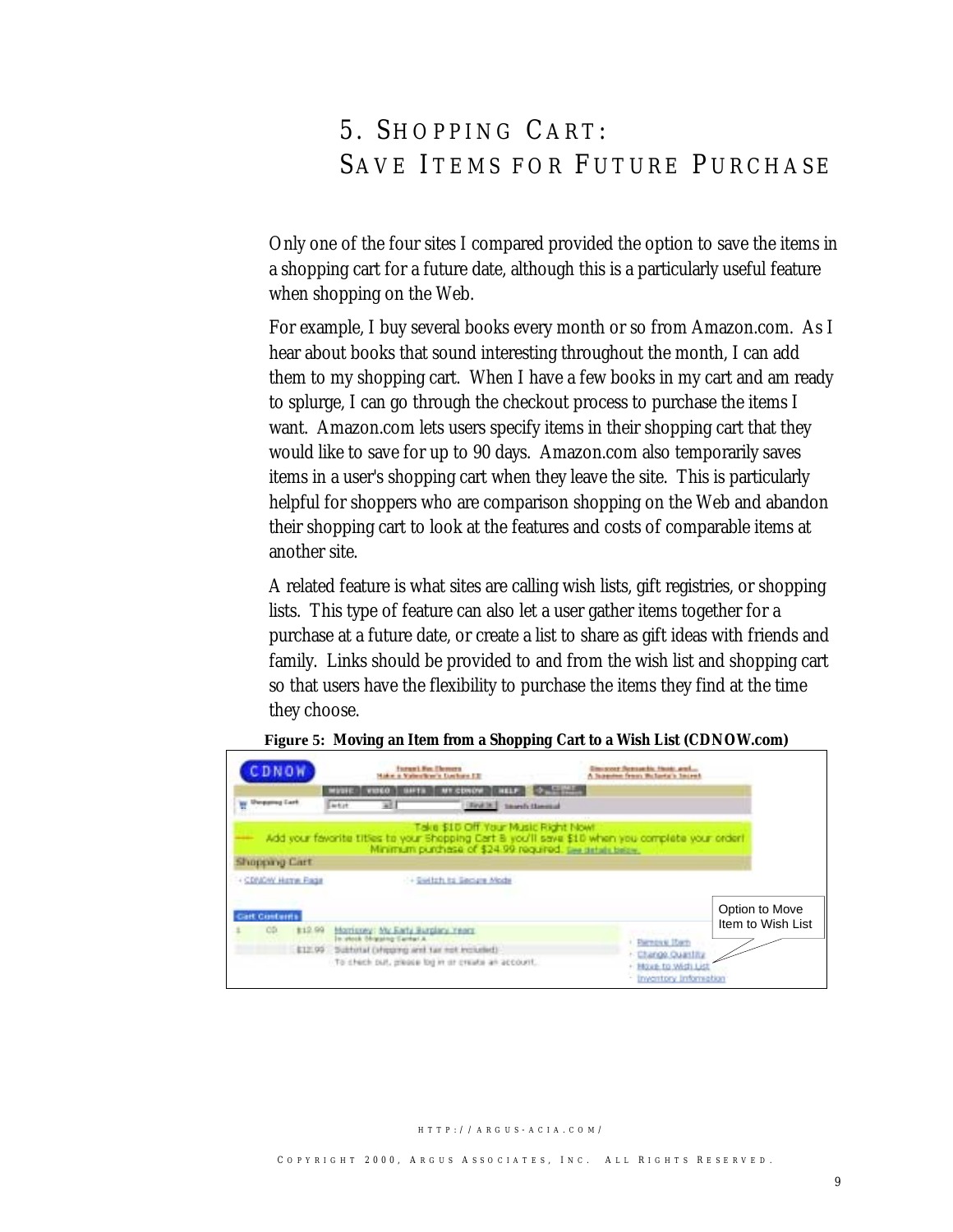## 5. SHOPPING CART: SAVE ITEMS FOR FUTURE PURCHASE

<span id="page-9-0"></span>Only one of the four sites I compared provided the option to save the items in a shopping cart for a future date, although this is a particularly useful feature when shopping on the Web.

For example, I buy several books every month or so from Amazon.com. As I hear about books that sound interesting throughout the month, I can add them to my shopping cart. When I have a few books in my cart and am ready to splurge, I can go through the checkout process to purchase the items I want. Amazon.com lets users specify items in their shopping cart that they would like to save for up to 90 days. Amazon.com also temporarily saves items in a user's shopping cart when they leave the site. This is particularly helpful for shoppers who are comparison shopping on the Web and abandon their shopping cart to look at the features and costs of comparable items at another site.

A related feature is what sites are calling wish lists, gift registries, or shopping lists. This type of feature can also let a user gather items together for a purchase at a future date, or create a list to share as gift ideas with friends and family. Links should be provided to and from the wish list and shopping cart so that users have the flexibility to purchase the items they find at the time they choose.



#### **Figure 5: Moving an Item from a Shopping Cart to a Wish List (CDNOW.com)**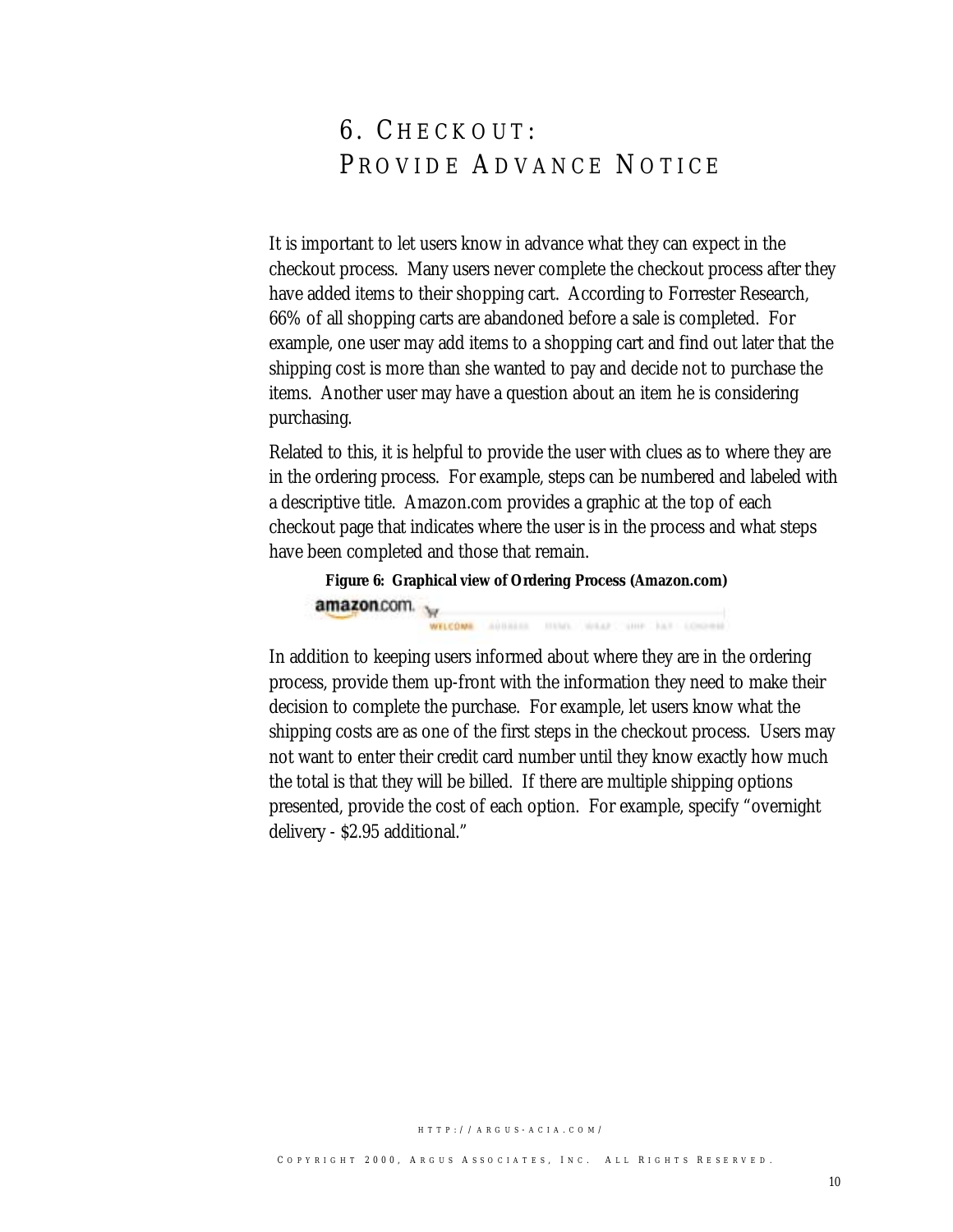## 6. CHECKOUT: PROVIDE ADVANCE NOTICE

<span id="page-10-0"></span>It is important to let users know in advance what they can expect in the checkout process. Many users never complete the checkout process after they have added items to their shopping cart. According to Forrester Research, 66% of all shopping carts are abandoned before a sale is completed. For example, one user may add items to a shopping cart and find out later that the shipping cost is more than she wanted to pay and decide not to purchase the items. Another user may have a question about an item he is considering purchasing.

Related to this, it is helpful to provide the user with clues as to where they are in the ordering process. For example, steps can be numbered and labeled with a descriptive title. Amazon.com provides a graphic at the top of each checkout page that indicates where the user is in the process and what steps have been completed and those that remain.

#### **Figure 6: Graphical view of Ordering Process (Amazon.com)**  amazon.com. WILCOME ADDITION TITLE WALLET THE EAT LONDING

In addition to keeping users informed about where they are in the ordering process, provide them up-front with the information they need to make their decision to complete the purchase. For example, let users know what the shipping costs are as one of the first steps in the checkout process. Users may not want to enter their credit card number until they know exactly how much the total is that they will be billed. If there are multiple shipping options

presented, provide the cost of each option. For example, specify "overnight delivery - \$2.95 additional."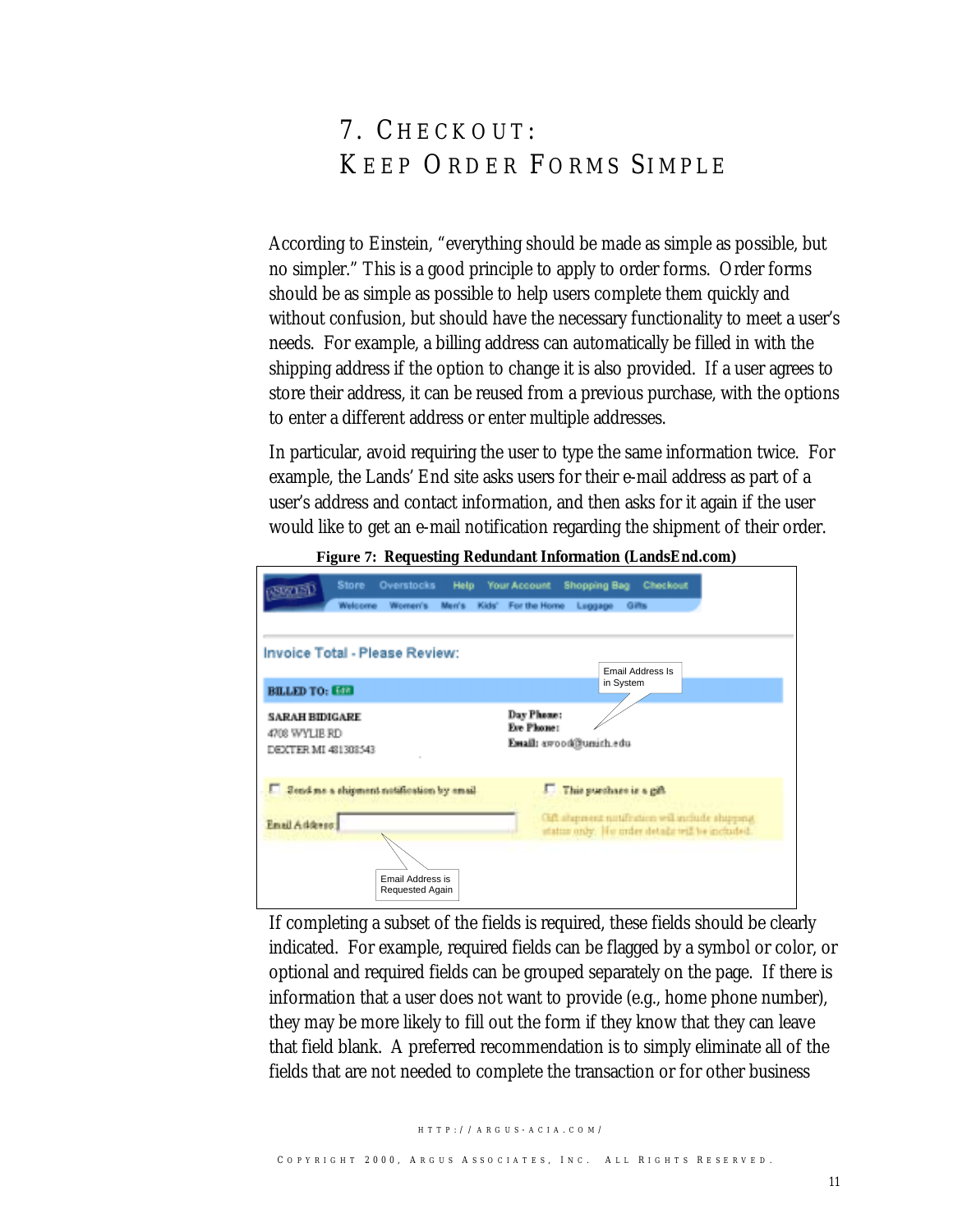## <span id="page-11-0"></span>7. CHECKOUT: KEEP ORDER FORMS SIMPLE

According to Einstein, "everything should be made as simple as possible, but no simpler." This is a good principle to apply to order forms. Order forms should be as simple as possible to help users complete them quickly and without confusion, but should have the necessary functionality to meet a user's needs. For example, a billing address can automatically be filled in with the shipping address if the option to change it is also provided. If a user agrees to store their address, it can be reused from a previous purchase, with the options to enter a different address or enter multiple addresses.

In particular, avoid requiring the user to type the same information twice. For example, the Lands' End site asks users for their e-mail address as part of a user's address and contact information, and then asks for it again if the user would like to get an e-mail notification regarding the shipment of their order.

Help Your Account Shopping Bag Checkout Overstocks **Store** soznañ For the Home Invoice Total - Please Review: Email Address Is in System **BILLED TO: ESER** Day Phone: SARAH BIDIGARE Eve Phone: 4708 WYLIE RD Email: ewood@unich.edu DEXTER MI 481308543 F This purchase is a gift Send ms a shipment notification by email SA shquang antifration will include shipping Email Address status only. He order details trill be included. Email Address is Requested Again

**Figure 7: Requesting Redundant Information (LandsEnd.com)**

If completing a subset of the fields is required, these fields should be clearly indicated. For example, required fields can be flagged by a symbol or color, or optional and required fields can be grouped separately on the page. If there is information that a user does not want to provide (e.g., home phone number), they may be more likely to fill out the form if they know that they can leave that field blank. A preferred recommendation is to simply eliminate all of the fields that are not needed to complete the transaction or for other business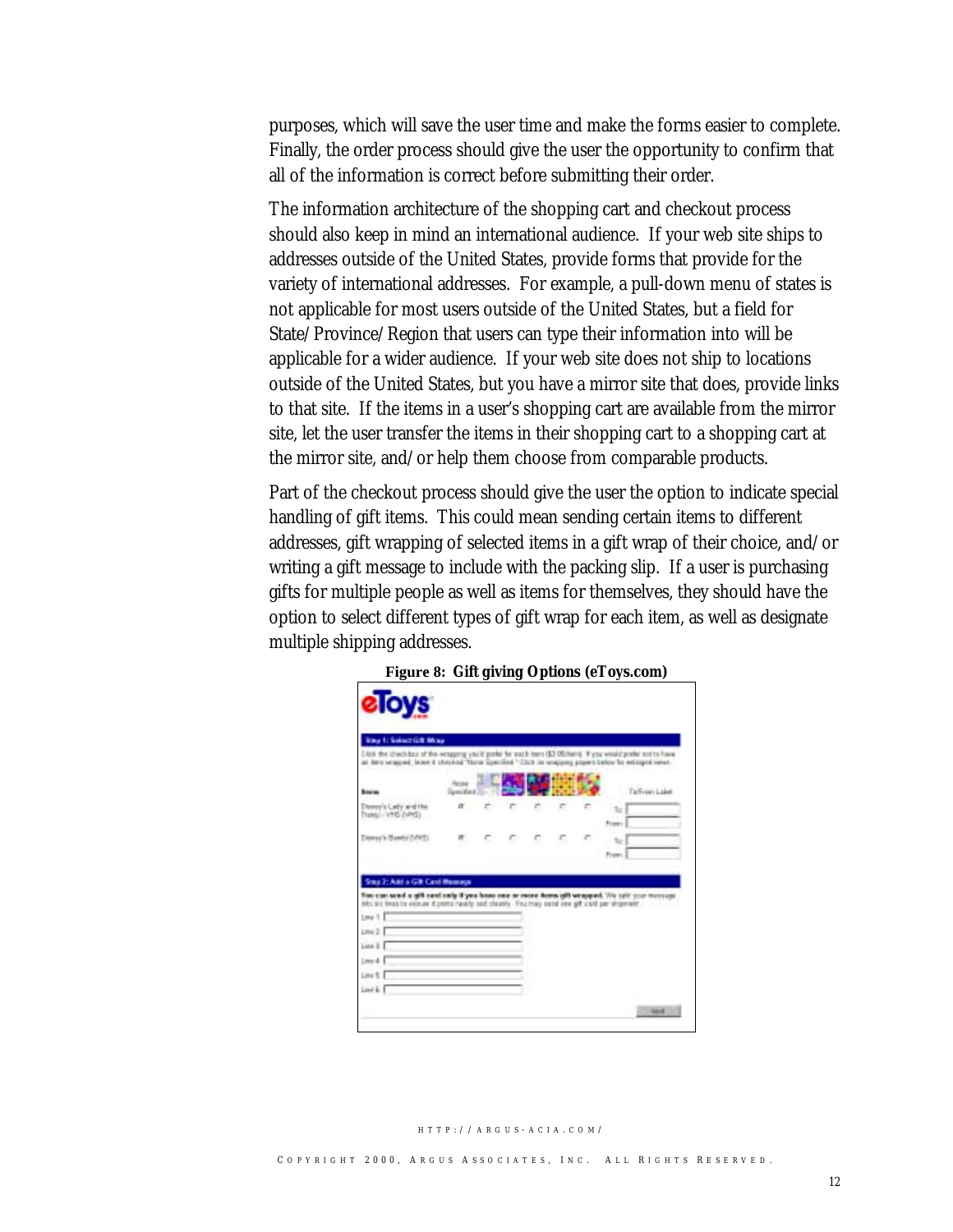purposes, which will save the user time and make the forms easier to complete. Finally, the order process should give the user the opportunity to confirm that all of the information is correct before submitting their order.

The information architecture of the shopping cart and checkout process should also keep in mind an international audience. If your web site ships to addresses outside of the United States, provide forms that provide for the variety of international addresses. For example, a pull-down menu of states is not applicable for most users outside of the United States, but a field for State/Province/Region that users can type their information into will be applicable for a wider audience. If your web site does not ship to locations outside of the United States, but you have a mirror site that does, provide links to that site. If the items in a user's shopping cart are available from the mirror site, let the user transfer the items in their shopping cart to a shopping cart at the mirror site, and/or help them choose from comparable products.

Part of the checkout process should give the user the option to indicate special handling of gift items. This could mean sending certain items to different addresses, gift wrapping of selected items in a gift wrap of their choice, and/or writing a gift message to include with the packing slip. If a user is purchasing gifts for multiple people as well as items for themselves, they should have the option to select different types of gift wrap for each item, as well as designate multiple shipping addresses.

| <b>alovs</b>                                                                                                                                                                                                                                           |                   |   |   |   |                                                                                                 |
|--------------------------------------------------------------------------------------------------------------------------------------------------------------------------------------------------------------------------------------------------------|-------------------|---|---|---|-------------------------------------------------------------------------------------------------|
| <b>Ving 1: Solocit Gdt Mrap</b>                                                                                                                                                                                                                        |                   |   |   |   |                                                                                                 |
| Eliza the checkbox of the engang you'll preter for each hern (\$3.95/dens). If you weekd preter not to have                                                                                                                                            |                   |   |   |   | Bern wrapped; buse it shelded "None Specified." CSD in wrapping papers below for extrapol news. |
| <b>Bound</b>                                                                                                                                                                                                                                           | <b>Gold Bikel</b> |   |   |   | <b>TarPener Laker</b>                                                                           |
| Disemple Carly and the<br>Transp - 1/145 (1415)                                                                                                                                                                                                        |                   | г | r | r | Franco                                                                                          |
| Diamay's Bambi (VMS)                                                                                                                                                                                                                                   |                   |   |   |   | To:                                                                                             |
|                                                                                                                                                                                                                                                        |                   |   |   |   | From:                                                                                           |
| Step 3: Add a Gilt Card Heasage                                                                                                                                                                                                                        |                   |   |   |   |                                                                                                 |
|                                                                                                                                                                                                                                                        |                   |   |   |   |                                                                                                 |
|                                                                                                                                                                                                                                                        |                   |   |   |   |                                                                                                 |
|                                                                                                                                                                                                                                                        |                   |   |   |   |                                                                                                 |
|                                                                                                                                                                                                                                                        |                   |   |   |   |                                                                                                 |
|                                                                                                                                                                                                                                                        |                   |   |   |   |                                                                                                 |
| Too can send a gift sent only if you been one or roore floors gift wrapped. We self your metrops<br>into six lines to exceller it ponts residy and cleanly. You may cent one gift card per shipment:<br>Lime 1<br>1ms2<br>Link E.<br>1 med.<br>Line T. |                   |   |   |   |                                                                                                 |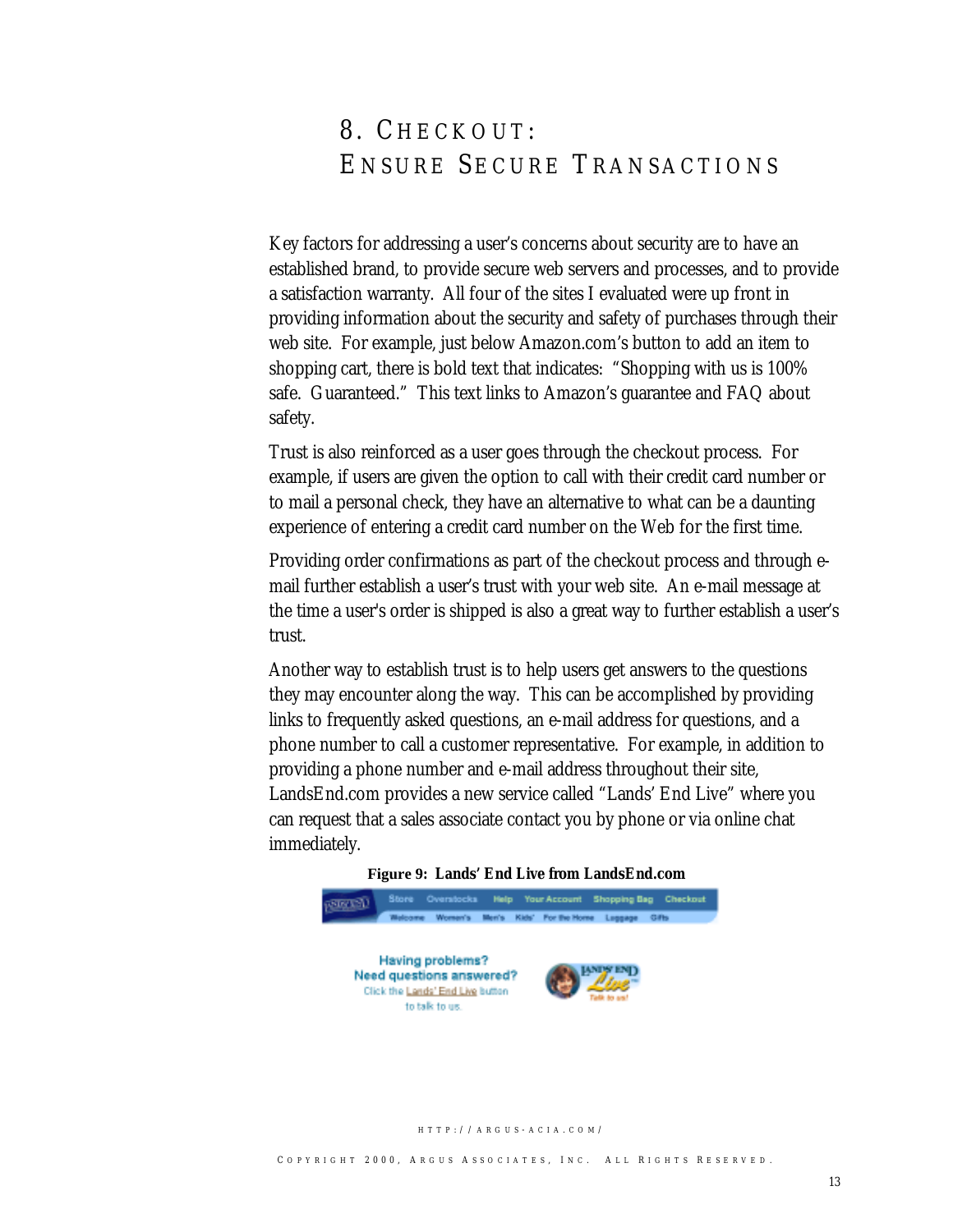## 8. CHECKOUT: E NSURE S ECURE T RANSACTIONS

<span id="page-13-0"></span>Key factors for addressing a user's concerns about security are to have an established brand, to provide secure web servers and processes, and to provide a satisfaction warranty. All four of the sites I evaluated were up front in providing information about the security and safety of purchases through their web site. For example, just below Amazon.com's button to add an item to shopping cart, there is bold text that indicates: "Shopping with us is 100% safe. Guaranteed." This text links to Amazon's guarantee and FAQ about safety.

Trust is also reinforced as a user goes through the checkout process. For example, if users are given the option to call with their credit card number or to mail a personal check, they have an alternative to what can be a daunting experience of entering a credit card number on the Web for the first time.

Providing order confirmations as part of the checkout process and through email further establish a user's trust with your web site. An e-mail message at the time a user's order is shipped is also a great way to further establish a user's trust.

Another way to establish trust is to help users get answers to the questions they may encounter along the way. This can be accomplished by providing links to frequently asked questions, an e-mail address for questions, and a phone number to call a customer representative. For example, in addition to providing a phone number and e-mail address throughout their site, LandsEnd.com provides a new service called "Lands' End Live" where you can request that a sales associate contact you by phone or via online chat immediately.

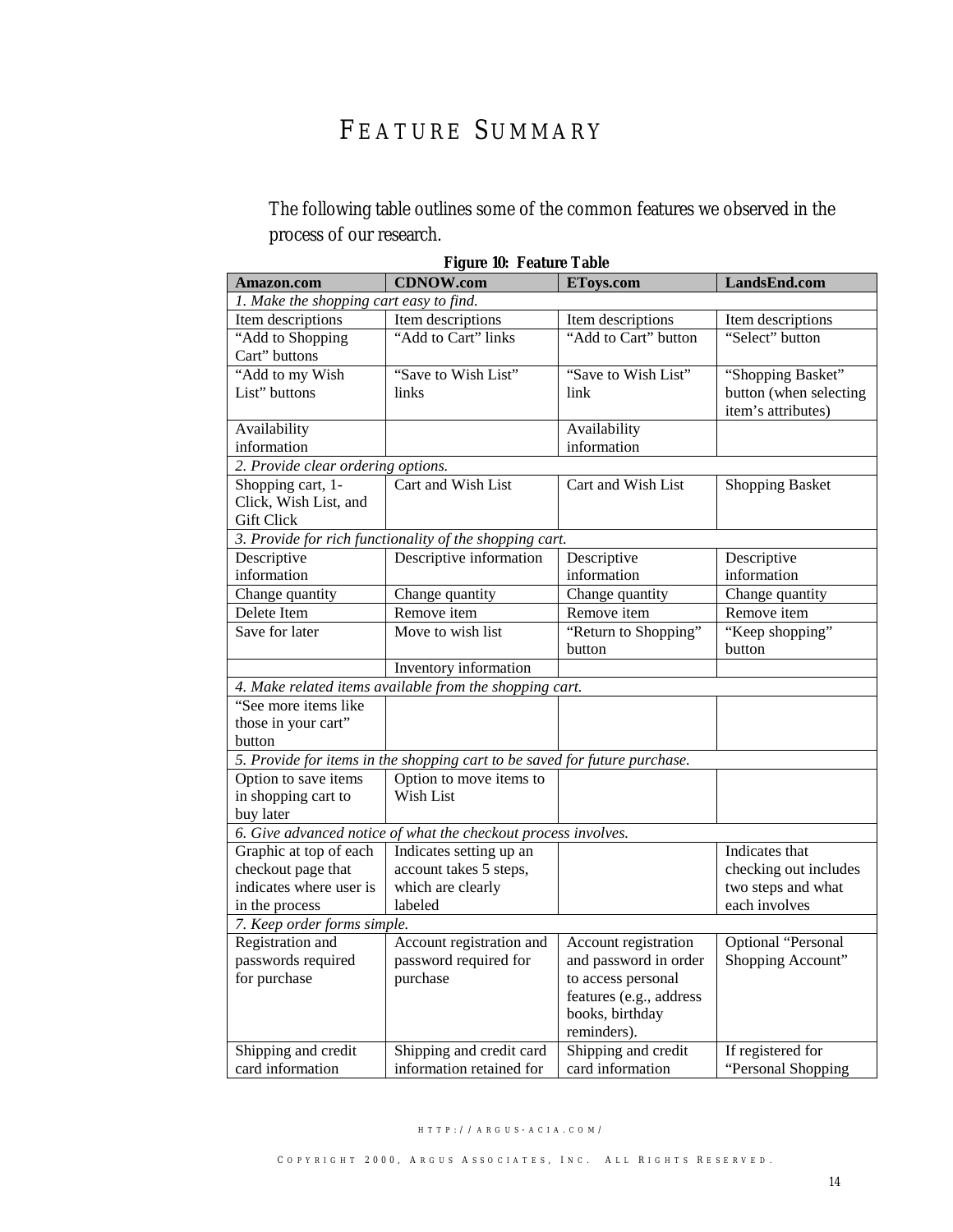## FEATURE SUMMARY

<span id="page-14-0"></span>The following table outlines some of the common features we observed in the process of our research.

| rigule IV. reature Table                |                                                                            |                         |                        |  |  |  |  |  |
|-----------------------------------------|----------------------------------------------------------------------------|-------------------------|------------------------|--|--|--|--|--|
| <b>Amazon.com</b>                       | <b>CDNOW.com</b>                                                           | EToys.com               | LandsEnd.com           |  |  |  |  |  |
| 1. Make the shopping cart easy to find. |                                                                            |                         |                        |  |  |  |  |  |
| Item descriptions                       | Item descriptions                                                          | Item descriptions       | Item descriptions      |  |  |  |  |  |
| "Add to Shopping                        | "Add to Cart" links                                                        | "Add to Cart" button    | "Select" button        |  |  |  |  |  |
| Cart" buttons                           |                                                                            |                         |                        |  |  |  |  |  |
| "Add to my Wish                         | "Save to Wish List"                                                        | "Save to Wish List"     | "Shopping Basket"      |  |  |  |  |  |
| List" buttons                           | links                                                                      | link                    | button (when selecting |  |  |  |  |  |
|                                         |                                                                            |                         | item's attributes)     |  |  |  |  |  |
| Availability                            |                                                                            | Availability            |                        |  |  |  |  |  |
| information                             |                                                                            | information             |                        |  |  |  |  |  |
| 2. Provide clear ordering options.      |                                                                            |                         |                        |  |  |  |  |  |
| Shopping cart, 1-                       | Cart and Wish List                                                         | Cart and Wish List      | <b>Shopping Basket</b> |  |  |  |  |  |
| Click, Wish List, and                   |                                                                            |                         |                        |  |  |  |  |  |
| <b>Gift Click</b>                       |                                                                            |                         |                        |  |  |  |  |  |
|                                         | 3. Provide for rich functionality of the shopping cart.                    |                         |                        |  |  |  |  |  |
| Descriptive                             | Descriptive information                                                    | Descriptive             | Descriptive            |  |  |  |  |  |
| information                             |                                                                            | information             | information            |  |  |  |  |  |
| Change quantity                         | Change quantity                                                            | Change quantity         | Change quantity        |  |  |  |  |  |
| Delete Item                             | Remove item                                                                | Remove item             | Remove item            |  |  |  |  |  |
| Save for later                          | Move to wish list                                                          | "Return to Shopping"    | "Keep shopping"        |  |  |  |  |  |
|                                         |                                                                            | button                  | button                 |  |  |  |  |  |
|                                         | Inventory information                                                      |                         |                        |  |  |  |  |  |
|                                         | 4. Make related items available from the shopping cart.                    |                         |                        |  |  |  |  |  |
| "See more items like                    |                                                                            |                         |                        |  |  |  |  |  |
| those in your cart"                     |                                                                            |                         |                        |  |  |  |  |  |
| button                                  |                                                                            |                         |                        |  |  |  |  |  |
|                                         | 5. Provide for items in the shopping cart to be saved for future purchase. |                         |                        |  |  |  |  |  |
| Option to save items                    | Option to move items to                                                    |                         |                        |  |  |  |  |  |
| in shopping cart to                     | Wish List                                                                  |                         |                        |  |  |  |  |  |
| buy later                               |                                                                            |                         |                        |  |  |  |  |  |
|                                         | 6. Give advanced notice of what the checkout process involves.             |                         |                        |  |  |  |  |  |
| Graphic at top of each                  | Indicates setting up an                                                    |                         | Indicates that         |  |  |  |  |  |
| checkout page that                      | account takes 5 steps,                                                     |                         | checking out includes  |  |  |  |  |  |
| indicates where user is                 | which are clearly                                                          |                         | two steps and what     |  |  |  |  |  |
| in the process                          | labeled                                                                    |                         | each involves          |  |  |  |  |  |
| 7. Keep order forms simple.             |                                                                            |                         |                        |  |  |  |  |  |
| Registration and                        | Account registration and                                                   | Account registration    | Optional "Personal     |  |  |  |  |  |
| passwords required                      | password required for                                                      | and password in order   | Shopping Account"      |  |  |  |  |  |
| for purchase                            | purchase                                                                   | to access personal      |                        |  |  |  |  |  |
|                                         |                                                                            | features (e.g., address |                        |  |  |  |  |  |
|                                         |                                                                            | books, birthday         |                        |  |  |  |  |  |
|                                         |                                                                            | reminders).             |                        |  |  |  |  |  |
| Shipping and credit                     | Shipping and credit card                                                   | Shipping and credit     | If registered for      |  |  |  |  |  |
| card information                        | information retained for                                                   | card information        | "Personal Shopping     |  |  |  |  |  |

| <b>Figure 10: Feature Table</b> |
|---------------------------------|
|---------------------------------|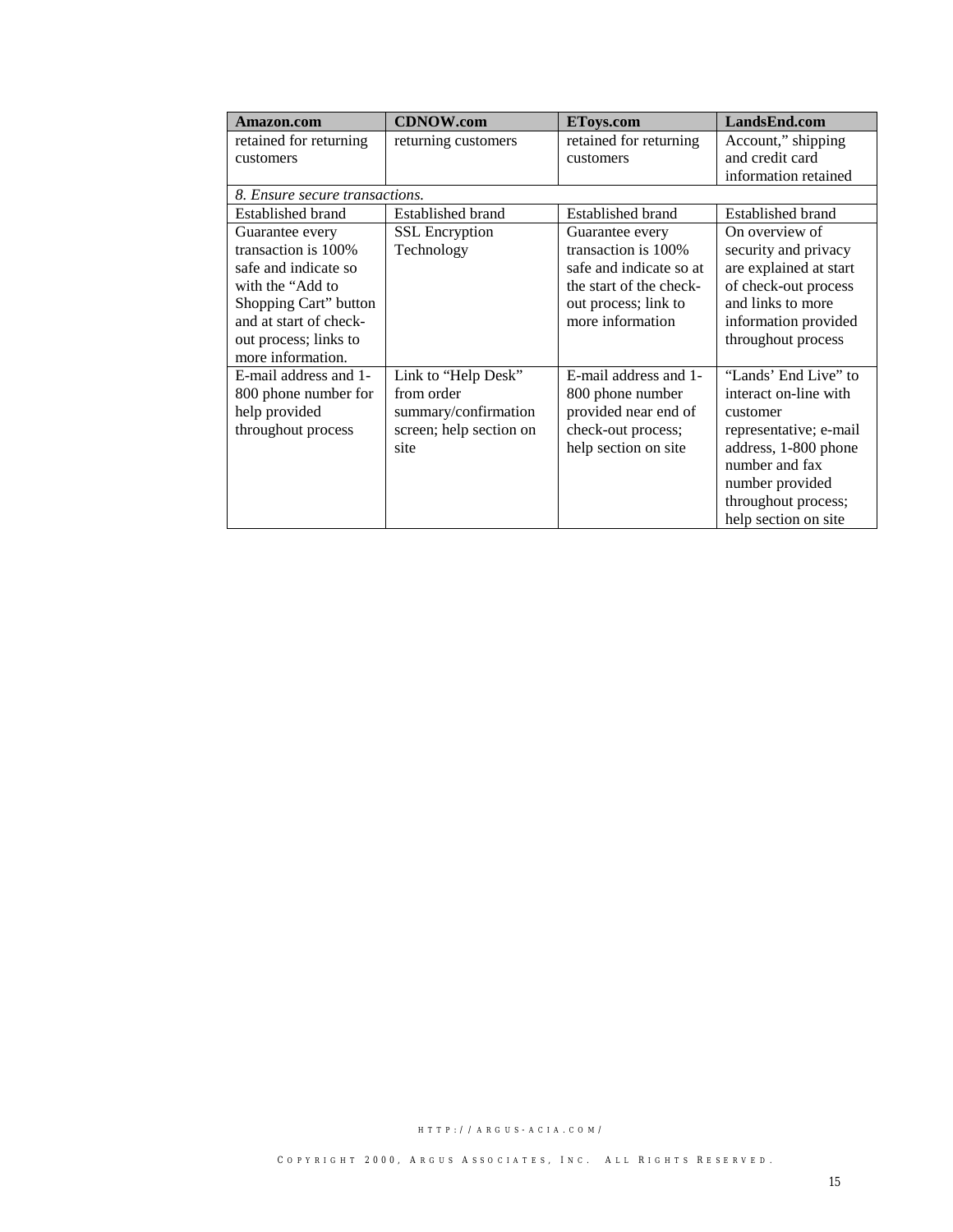| Amazon.com                                                                                                                                                                           | <b>CDNOW.com</b>                                                                             | <b>EToys.com</b>                                                                                                                         | LandsEnd.com                                                                                                                                                                                    |  |  |  |
|--------------------------------------------------------------------------------------------------------------------------------------------------------------------------------------|----------------------------------------------------------------------------------------------|------------------------------------------------------------------------------------------------------------------------------------------|-------------------------------------------------------------------------------------------------------------------------------------------------------------------------------------------------|--|--|--|
| retained for returning                                                                                                                                                               | returning customers                                                                          | retained for returning                                                                                                                   | Account," shipping                                                                                                                                                                              |  |  |  |
| customers                                                                                                                                                                            |                                                                                              | customers                                                                                                                                | and credit card                                                                                                                                                                                 |  |  |  |
|                                                                                                                                                                                      |                                                                                              |                                                                                                                                          | information retained                                                                                                                                                                            |  |  |  |
| 8. Ensure secure transactions.                                                                                                                                                       |                                                                                              |                                                                                                                                          |                                                                                                                                                                                                 |  |  |  |
| <b>Established brand</b>                                                                                                                                                             | <b>Established brand</b>                                                                     | <b>Established brand</b>                                                                                                                 | <b>Established brand</b>                                                                                                                                                                        |  |  |  |
| Guarantee every<br>transaction is 100%<br>safe and indicate so<br>with the "Add to"<br>Shopping Cart" button<br>and at start of check-<br>out process; links to<br>more information. | <b>SSL</b> Encryption<br>Technology                                                          | Guarantee every<br>transaction is 100%<br>safe and indicate so at<br>the start of the check-<br>out process; link to<br>more information | On overview of<br>security and privacy<br>are explained at start<br>of check-out process<br>and links to more<br>information provided<br>throughout process                                     |  |  |  |
| E-mail address and 1-<br>800 phone number for<br>help provided<br>throughout process                                                                                                 | Link to "Help Desk"<br>from order<br>summary/confirmation<br>screen; help section on<br>site | E-mail address and 1-<br>800 phone number<br>provided near end of<br>check-out process;<br>help section on site                          | "Lands" End Live" to<br>interact on-line with<br>customer<br>representative; e-mail<br>address, 1-800 phone<br>number and fax<br>number provided<br>throughout process;<br>help section on site |  |  |  |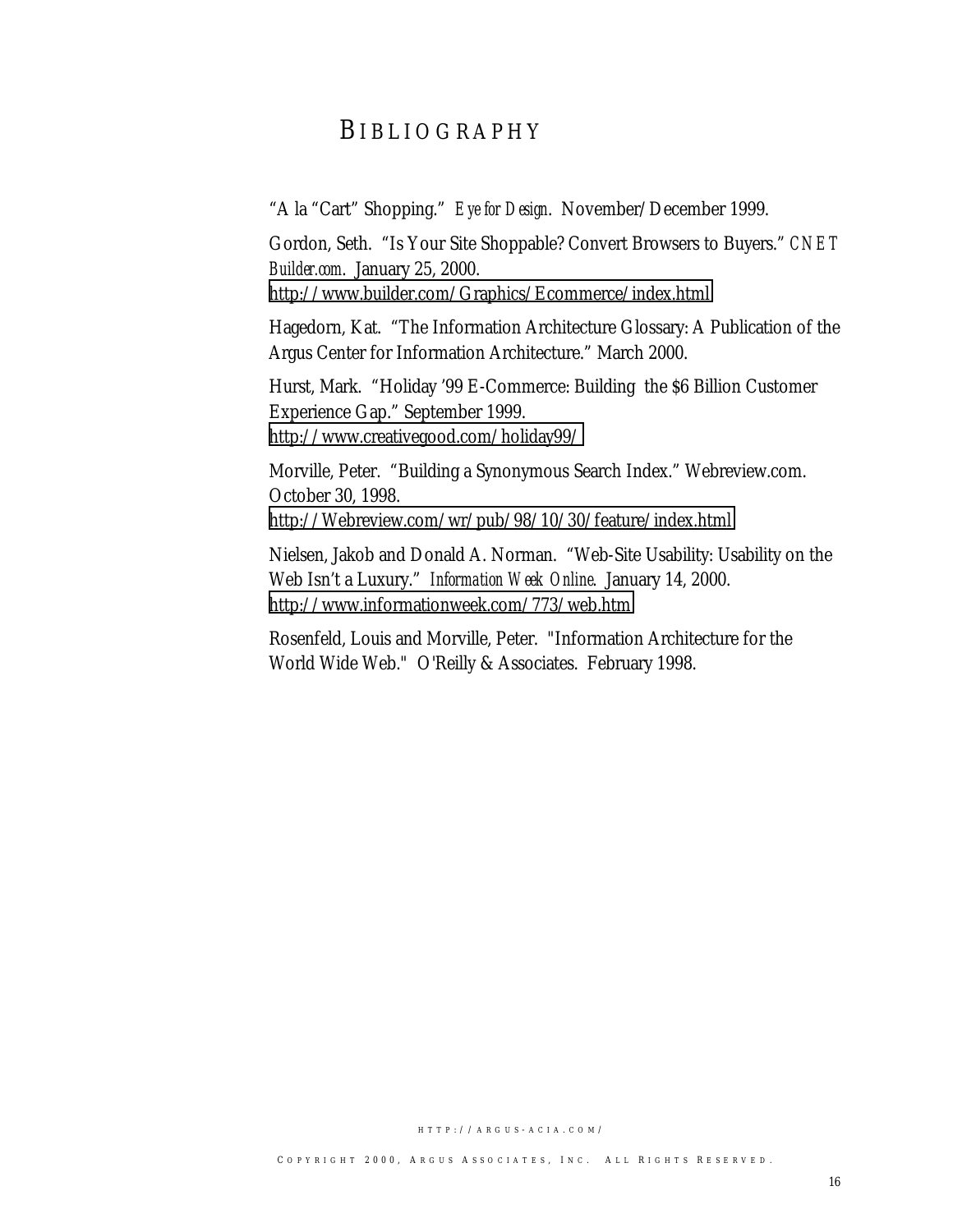### BIBLIOGRAPHY

<span id="page-16-0"></span>"A la "Cart" Shopping." *Eye for Design*. November/December 1999.

Gordon, Seth. "Is Your Site Shoppable? Convert Browsers to Buyers." *CNET Builder.com*. January 25, 2000. <http://www.builder.com/Graphics/Ecommerce/index.html>

Hagedorn, Kat. "The Information Architecture Glossary: A Publication of the Argus Center for Information Architecture." March 2000.

Hurst, Mark. "Holiday '99 E-Commerce: Building the \$6 Billion Customer Experience Gap." September 1999. <http://www.creativegood.com/holiday99/>

Morville, Peter. "Building a Synonymous Search Index." Webreview.com. October 30, 1998. [http://Webreview.com/wr/pub/98/10/30/feature/index.html](http://webreview.com/wr/pub/98/10/30/feature/index.html) 

Nielsen, Jakob and Donald A. Norman. "Web-Site Usability: Usability on the Web Isn't a Luxury." *Information Week Online*. January 14, 2000. <http://www.informationweek.com/773/web.htm>

Rosenfeld, Louis and Morville, Peter. "Information Architecture for the World Wide Web." O'Reilly & Associates. February 1998.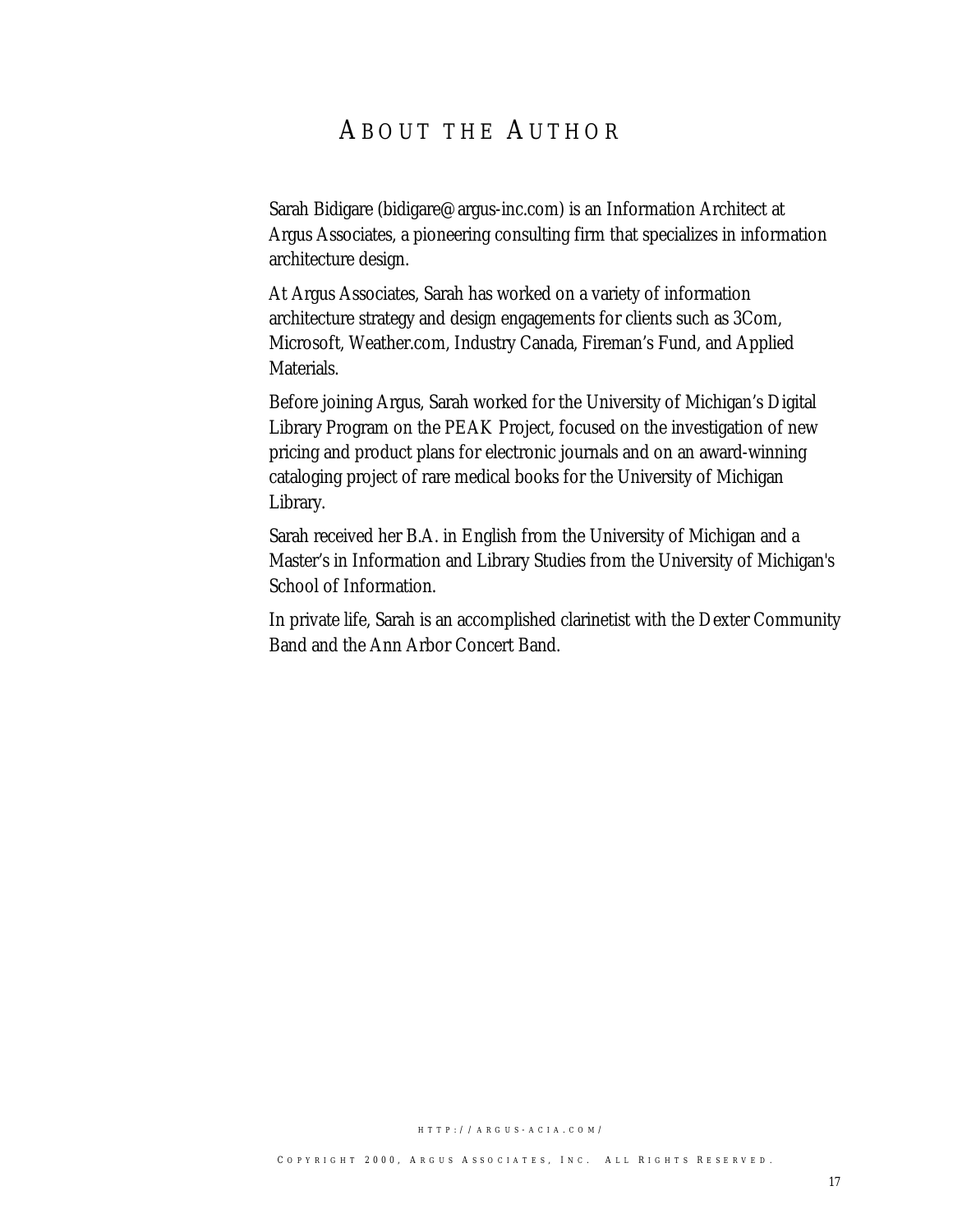### ABOUT THE A UTHOR

<span id="page-17-0"></span>Sarah Bidigare (bidigare@argus-inc.com) is an Information Architect at Argus Associates, a pioneering consulting firm that specializes in information architecture design.

At Argus Associates, Sarah has worked on a variety of information architecture strategy and design engagements for clients such as 3Com, Microsoft, Weather.com, Industry Canada, Fireman's Fund, and Applied Materials.

Before joining Argus, Sarah worked for the University of Michigan's Digital Library Program on the PEAK Project, focused on the investigation of new pricing and product plans for electronic journals and on an award-winning cataloging project of rare medical books for the University of Michigan Library.

Sarah received her B.A. in English from the University of Michigan and a Master's in Information and Library Studies from the University of Michigan's School of Information.

In private life, Sarah is an accomplished clarinetist with the Dexter Community Band and the Ann Arbor Concert Band.